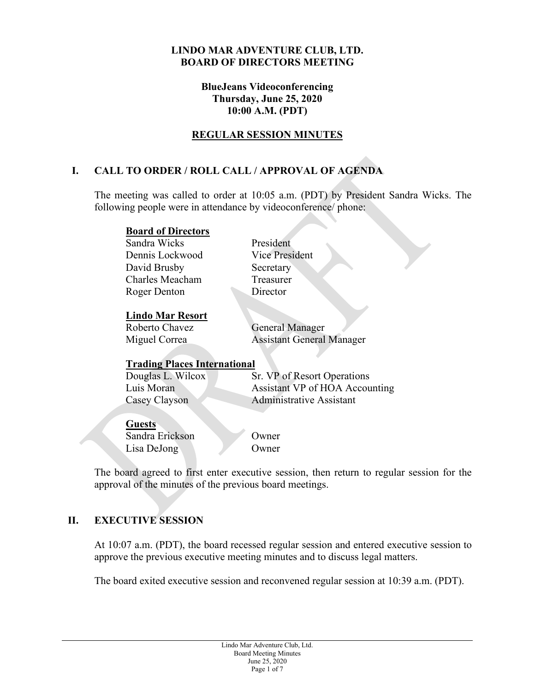#### **LINDO MAR ADVENTURE CLUB, LTD. BOARD OF DIRECTORS MEETING**

#### **BlueJeans Videoconferencing Thursday, June 25, 2020 10:00 A.M. (PDT)**

## **REGULAR SESSION MINUTES**

# **I. CALL TO ORDER / ROLL CALL / APPROVAL OF AGENDA**

The meeting was called to order at 10:05 a.m. (PDT) by President Sandra Wicks. The following people were in attendance by videoconference/ phone:

#### **Board of Directors**

Sandra Wicks President Dennis Lockwood Vice President David Brusby Secretary Charles Meacham Treasurer Roger Denton Director

## **Lindo Mar Resort**

Roberto Chavez General Manager Miguel Correa Assistant General Manager

## **Trading Places International**

Douglas L. Wilcox Sr. VP of Resort Operations Luis Moran Assistant VP of HOA Accounting Casey Clayson Administrative Assistant

**Guests** Sandra Erickson Owner

Lisa DeJong Owner

The board agreed to first enter executive session, then return to regular session for the approval of the minutes of the previous board meetings.

# **II. EXECUTIVE SESSION**

At 10:07 a.m. (PDT), the board recessed regular session and entered executive session to approve the previous executive meeting minutes and to discuss legal matters.

The board exited executive session and reconvened regular session at 10:39 a.m. (PDT).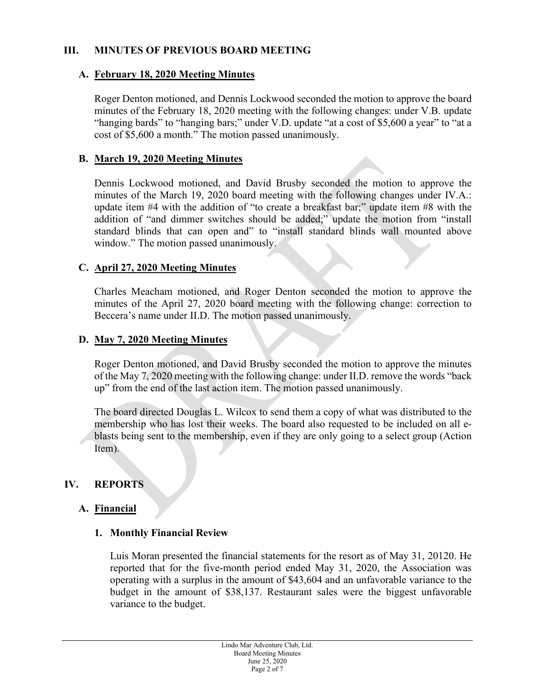## **III. MINUTES OF PREVIOUS BOARD MEETING**

#### **A. February 18, 2020 Meeting Minutes**

Roger Denton motioned, and Dennis Lockwood seconded the motion to approve the board minutes of the February 18, 2020 meeting with the following changes: under V.B. update "hanging bards" to "hanging bars;" under V.D. update "at a cost of \$5,600 a year" to "at a cost of \$5,600 a month." The motion passed unanimously.

#### **B. March 19, 2020 Meeting Minutes**

Dennis Lockwood motioned, and David Brusby seconded the motion to approve the minutes of the March 19, 2020 board meeting with the following changes under IV.A.: update item #4 with the addition of "to create a breakfast bar;" update item #8 with the addition of "and dimmer switches should be added;" update the motion from "install standard blinds that can open and" to "install standard blinds wall mounted above window." The motion passed unanimously.

#### **C. April 27, 2020 Meeting Minutes**

Charles Meacham motioned, and Roger Denton seconded the motion to approve the minutes of the April 27, 2020 board meeting with the following change: correction to Beccera's name under II.D. The motion passed unanimously.

#### **D. May 7, 2020 Meeting Minutes**

Roger Denton motioned, and David Brusby seconded the motion to approve the minutes of the May 7, 2020 meeting with the following change: under II.D. remove the words "back up" from the end of the last action item. The motion passed unanimously.

The board directed Douglas L. Wilcox to send them a copy of what was distributed to the membership who has lost their weeks. The board also requested to be included on all eblasts being sent to the membership, even if they are only going to a select group (Action Item).

## **IV. REPORTS**

## **A. Financial**

#### **1. Monthly Financial Review**

Luis Moran presented the financial statements for the resort as of May 31, 20120. He reported that for the five-month period ended May 31, 2020, the Association was operating with a surplus in the amount of \$43,604 and an unfavorable variance to the budget in the amount of \$38,137. Restaurant sales were the biggest unfavorable variance to the budget.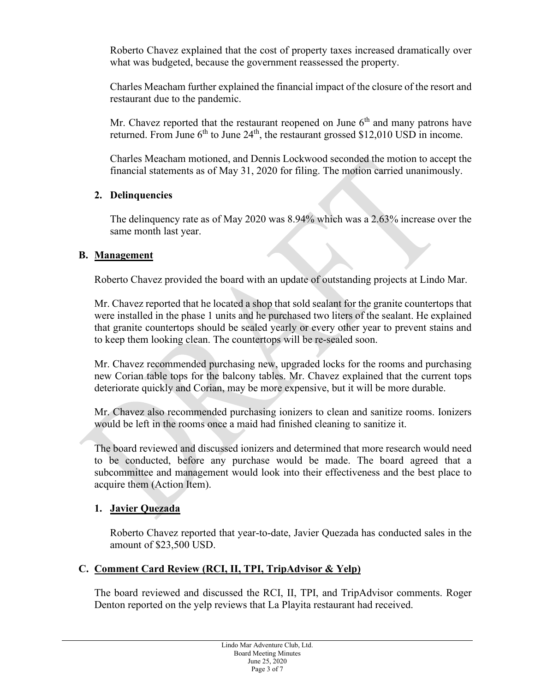Roberto Chavez explained that the cost of property taxes increased dramatically over what was budgeted, because the government reassessed the property.

Charles Meacham further explained the financial impact of the closure of the resort and restaurant due to the pandemic.

Mr. Chavez reported that the restaurant reopened on June  $6<sup>th</sup>$  and many patrons have returned. From June  $6<sup>th</sup>$  to June 24<sup>th</sup>, the restaurant grossed \$12,010 USD in income.

Charles Meacham motioned, and Dennis Lockwood seconded the motion to accept the financial statements as of May 31, 2020 for filing. The motion carried unanimously.

## **2. Delinquencies**

The delinquency rate as of May 2020 was 8.94% which was a 2.63% increase over the same month last year.

## **B. Management**

Roberto Chavez provided the board with an update of outstanding projects at Lindo Mar.

Mr. Chavez reported that he located a shop that sold sealant for the granite countertops that were installed in the phase 1 units and he purchased two liters of the sealant. He explained that granite countertops should be sealed yearly or every other year to prevent stains and to keep them looking clean. The countertops will be re-sealed soon.

Mr. Chavez recommended purchasing new, upgraded locks for the rooms and purchasing new Corian table tops for the balcony tables. Mr. Chavez explained that the current tops deteriorate quickly and Corian, may be more expensive, but it will be more durable.

Mr. Chavez also recommended purchasing ionizers to clean and sanitize rooms. Ionizers would be left in the rooms once a maid had finished cleaning to sanitize it.

The board reviewed and discussed ionizers and determined that more research would need to be conducted, before any purchase would be made. The board agreed that a subcommittee and management would look into their effectiveness and the best place to acquire them (Action Item).

# **1. Javier Quezada**

Roberto Chavez reported that year-to-date, Javier Quezada has conducted sales in the amount of \$23,500 USD.

# **C. Comment Card Review (RCI, II, TPI, TripAdvisor & Yelp)**

The board reviewed and discussed the RCI, II, TPI, and TripAdvisor comments. Roger Denton reported on the yelp reviews that La Playita restaurant had received.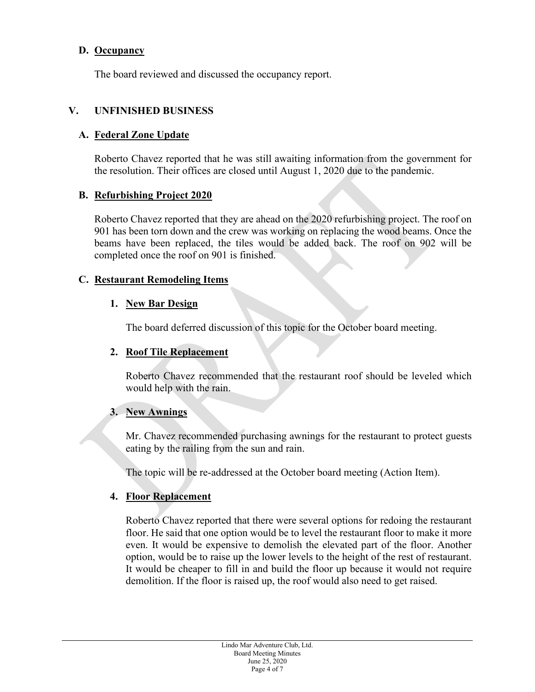## **D. Occupancy**

The board reviewed and discussed the occupancy report.

## **V. UNFINISHED BUSINESS**

## **A. Federal Zone Update**

Roberto Chavez reported that he was still awaiting information from the government for the resolution. Their offices are closed until August 1, 2020 due to the pandemic.

## **B. Refurbishing Project 2020**

Roberto Chavez reported that they are ahead on the 2020 refurbishing project. The roof on 901 has been torn down and the crew was working on replacing the wood beams. Once the beams have been replaced, the tiles would be added back. The roof on 902 will be completed once the roof on 901 is finished.

## **C. Restaurant Remodeling Items**

## **1. New Bar Design**

The board deferred discussion of this topic for the October board meeting.

## **2. Roof Tile Replacement**

Roberto Chavez recommended that the restaurant roof should be leveled which would help with the rain.

## **3. New Awnings**

Mr. Chavez recommended purchasing awnings for the restaurant to protect guests eating by the railing from the sun and rain.

The topic will be re-addressed at the October board meeting (Action Item).

## **4. Floor Replacement**

Roberto Chavez reported that there were several options for redoing the restaurant floor. He said that one option would be to level the restaurant floor to make it more even. It would be expensive to demolish the elevated part of the floor. Another option, would be to raise up the lower levels to the height of the rest of restaurant. It would be cheaper to fill in and build the floor up because it would not require demolition. If the floor is raised up, the roof would also need to get raised.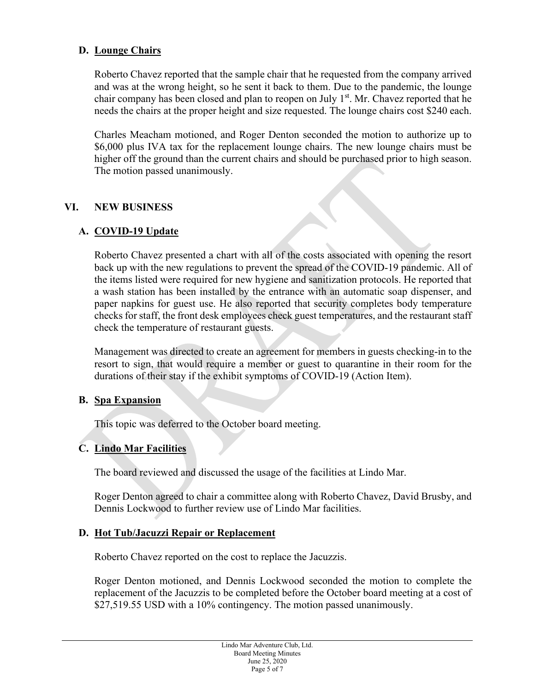## **D. Lounge Chairs**

Roberto Chavez reported that the sample chair that he requested from the company arrived and was at the wrong height, so he sent it back to them. Due to the pandemic, the lounge chair company has been closed and plan to reopen on July  $1<sup>st</sup>$ . Mr. Chavez reported that he needs the chairs at the proper height and size requested. The lounge chairs cost \$240 each.

Charles Meacham motioned, and Roger Denton seconded the motion to authorize up to \$6,000 plus IVA tax for the replacement lounge chairs. The new lounge chairs must be higher off the ground than the current chairs and should be purchased prior to high season. The motion passed unanimously.

## **VI. NEW BUSINESS**

## **A. COVID-19 Update**

Roberto Chavez presented a chart with all of the costs associated with opening the resort back up with the new regulations to prevent the spread of the COVID-19 pandemic. All of the items listed were required for new hygiene and sanitization protocols. He reported that a wash station has been installed by the entrance with an automatic soap dispenser, and paper napkins for guest use. He also reported that security completes body temperature checks for staff, the front desk employees check guest temperatures, and the restaurant staff check the temperature of restaurant guests.

Management was directed to create an agreement for members in guests checking-in to the resort to sign, that would require a member or guest to quarantine in their room for the durations of their stay if the exhibit symptoms of COVID-19 (Action Item).

## **B. Spa Expansion**

This topic was deferred to the October board meeting.

## **C. Lindo Mar Facilities**

The board reviewed and discussed the usage of the facilities at Lindo Mar.

Roger Denton agreed to chair a committee along with Roberto Chavez, David Brusby, and Dennis Lockwood to further review use of Lindo Mar facilities.

## **D. Hot Tub/Jacuzzi Repair or Replacement**

Roberto Chavez reported on the cost to replace the Jacuzzis.

Roger Denton motioned, and Dennis Lockwood seconded the motion to complete the replacement of the Jacuzzis to be completed before the October board meeting at a cost of \$27,519.55 USD with a 10% contingency. The motion passed unanimously.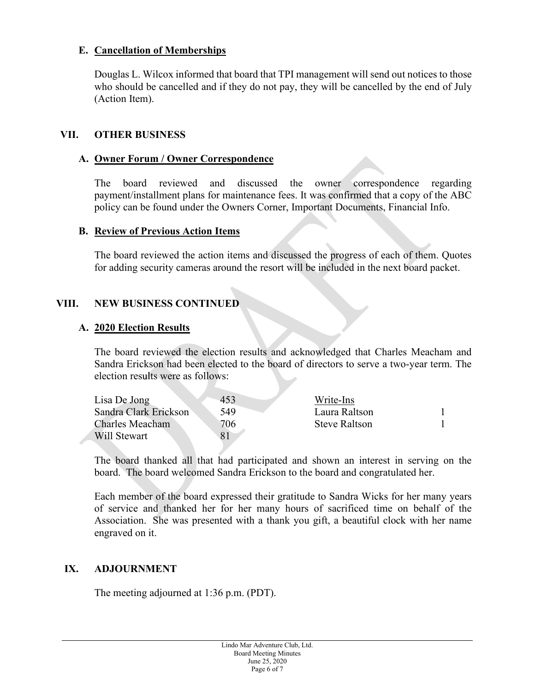## **E. Cancellation of Memberships**

Douglas L. Wilcox informed that board that TPI management will send out notices to those who should be cancelled and if they do not pay, they will be cancelled by the end of July (Action Item).

#### **VII. OTHER BUSINESS**

#### **A. Owner Forum / Owner Correspondence**

The board reviewed and discussed the owner correspondence regarding payment/installment plans for maintenance fees. It was confirmed that a copy of the ABC policy can be found under the Owners Corner, Important Documents, Financial Info.

#### **B. Review of Previous Action Items**

The board reviewed the action items and discussed the progress of each of them. Quotes for adding security cameras around the resort will be included in the next board packet.

## **VIII. NEW BUSINESS CONTINUED**

#### **A. 2020 Election Results**

The board reviewed the election results and acknowledged that Charles Meacham and Sandra Erickson had been elected to the board of directors to serve a two-year term. The election results were as follows:

| Lisa De Jong          | 453 | Write-Ins     |  |
|-----------------------|-----|---------------|--|
| Sandra Clark Erickson | 549 | Laura Raltson |  |
| Charles Meacham       | 706 | Steve Raltson |  |
| Will Stewart          |     |               |  |

The board thanked all that had participated and shown an interest in serving on the board. The board welcomed Sandra Erickson to the board and congratulated her.

Each member of the board expressed their gratitude to Sandra Wicks for her many years of service and thanked her for her many hours of sacrificed time on behalf of the Association. She was presented with a thank you gift, a beautiful clock with her name engraved on it.

## **IX. ADJOURNMENT**

The meeting adjourned at 1:36 p.m. (PDT).